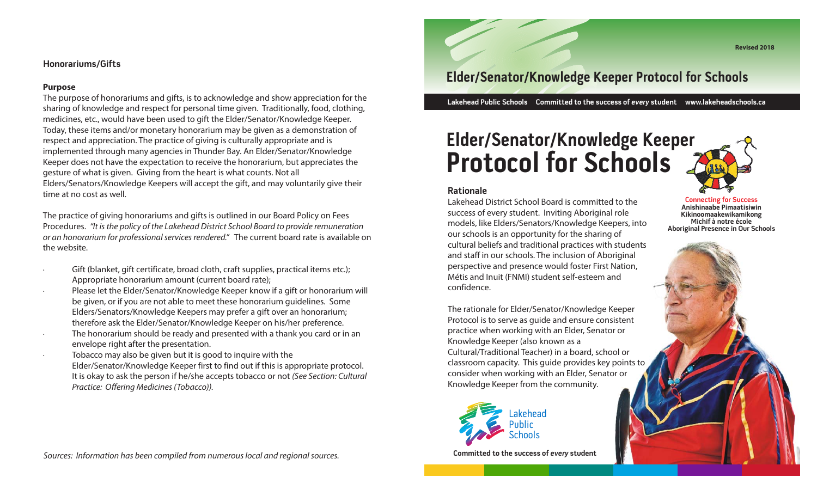**Connecting for Success Anishinaabe Pimaatisiwin Kikinoomaakewikamikong Michif à notre école Aboriginal Presence in Our Schools**

#### **Honorariums/Gifts**

#### **Purpose**

The purpose of honorariums and gifts, is to acknowledge and show appreciation for the sharing of knowledge and respect for personal time given. Traditionally, food, clothing, medicines, etc., would have been used to gift the Elder/Senator/Knowledge Keeper. Today, these items and/or monetary honorarium may be given as a demonstration of respect and appreciation. The practice of giving is culturally appropriate and is implemented through many agencies in Thunder Bay. An Elder/Senator/Knowledge Keeper does not have the expectation to receive the honorarium, but appreciates the gesture of what is given. Giving from the heart is what counts. Not all Elders/Senators/Knowledge Keepers will accept the gift, and may voluntarily give their time at no cost as well.

The practice of giving honorariums and gifts is outlined in our Board Policy on Fees Procedures. *"It is the policy of the Lakehead District School Board to provide remuneration or an honorarium for professional services rendered."* The current board rate is available on the website.

- Gift (blanket, gift certificate, broad cloth, craft supplies, practical items etc.); Appropriate honorarium amount (current board rate);
- Please let the Elder/Senator/Knowledge Keeper know if a gift or honorarium will be given, or if you are not able to meet these honorarium guidelines. Some Elders/Senators/Knowledge Keepers may prefer a gift over an honorarium; therefore ask the Elder/Senator/Knowledge Keeper on his/her preference.
- The honorarium should be ready and presented with a thank you card or in an envelope right after the presentation.
- Tobacco may also be given but it is good to inquire with the Elder/Senator/Knowledge Keeper first to find out if this is appropriate protocol. It is okay to ask the person if he/she accepts tobacco or not *(See Section: Cultural Practice: Offering Medicines (Tobacco)).*

#### *Sources: Information has been compiled from numerous local and regional sources.*

# **Elder/Senator/Knowledge Keeper Protocol for Schools**

**Lakehead Public Schools Committed to the success of student www.lakeheadschools.ca** *every*

# **Elder/Senator/Knowledge Keeper Protocol for Schools**

#### **Rationale**

Lakehead District School Board is committed to thesuccess of every student. Inviting Aboriginal role models, like Elders/Senators/Knowledge Keepers, into our schools is an opportunity for the sharing of cultural beliefs and traditional practices with students and staff in our schools. The inclusion of Aboriginal perspective and presence would foster First Nation, Métis and Inuit (FNMI) student self-esteem and confidence.

The rationale for Elder/Senator/Knowledge Keeper Protocol is to serve as guide and ensure consistent practice when working with an Elder, Senator or Knowledge Keeper (also known as a Cultural/Traditional Teacher) in a board, school or classroom capacity. This guide provides key points to consider when working with an Elder, Senator or Knowledge Keeper from the community.



**Committed to the success of student** *every*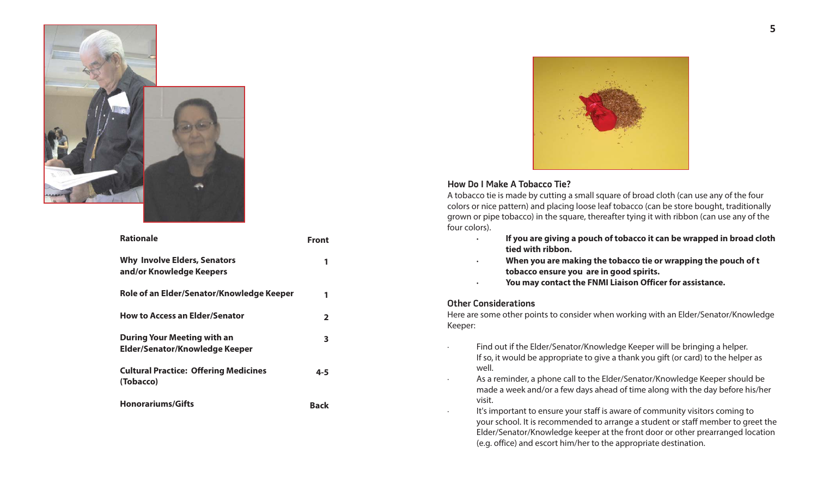

| <b>Rationale</b>                                                     | Front          |
|----------------------------------------------------------------------|----------------|
| <b>Why Involve Elders, Senators</b><br>and/or Knowledge Keepers      | 1              |
| Role of an Elder/Senator/Knowledge Keeper                            | 1              |
| <b>How to Access an Elder/Senator</b>                                | $\overline{2}$ |
| <b>During Your Meeting with an</b><br>Elder/Senator/Knowledge Keeper | 3              |
| <b>Cultural Practice: Offering Medicines</b><br>(Tobacco)            | 4-5            |
| <b>Honorariums/Gifts</b>                                             | Back           |



#### **How Do I Make A Tobacco Tie?**

A tobacco tie is made by cutting a small square of broad cloth (can use any of the four colors or nice pattern) and placing loose leaf tobacco (can be store bought, traditionally grown or pipe tobacco) in the square, thereafter tying it with ribbon (can use any of the four colors).

- **· If you are giving a pouch of tobacco it can be wrapped in broad cloth tied with ribbon.**
- **When you are making the tobacco tie or wrapping the pouch of t tobacco ensure you are in good spirits.**
- **You may contact the FNMI Liaison Officer for assistance.**

#### **Other Considerations**

**·**

·

·

Here are some other points to consider when working with an Elder/Senator/Knowledge Keeper:

- · Find out if the Elder/Senator/Knowledge Keeper will be bringing a helper. If so, it would be appropriate to give a thank you gift (or card) to the helper as well.
- As a reminder, a phone call to the Elder/Senator/Knowledge Keeper should be made a week and/or a few days ahead of time along with the day before his/her visit.
- It's important to ensure your staff is aware of community visitors coming to your school. It is recommended to arrange a student or staff member to greet the Elder/Senator/Knowledge keeper at the front door or other prearranged location (e.g. office) and escort him/her to the appropriate destination.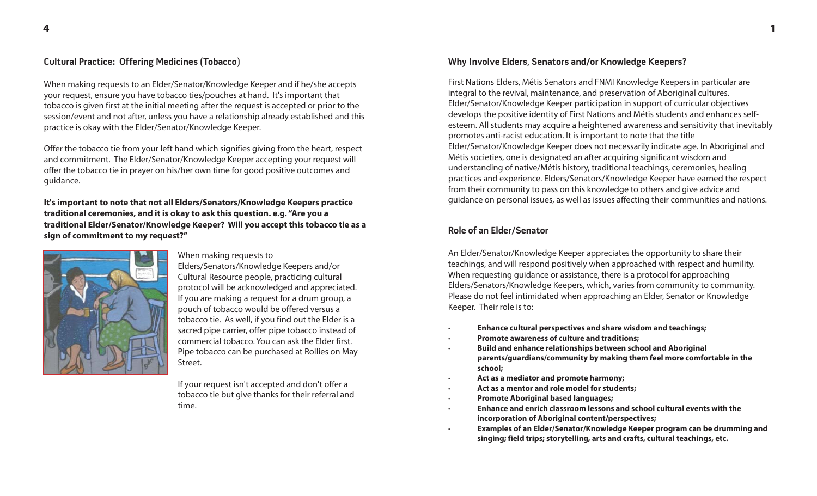## **Cultural Practice: Offering Medicines (Tobacco)**

When making requests to an Elder/Senator/Knowledge Keeper and if he/she accepts your request, ensure you have tobacco ties/pouches at hand. It's important that tobacco is given first at the initial meeting after the request is accepted or prior to the session/event and not after, unless you have a relationship already established and this practice is okay with the Elder/Senator/Knowledge Keeper.

Offer the tobacco tie from your left hand which signifies giving from the heart, respect and commitment. The Elder/Senator/Knowledge Keeper accepting your request will offer the tobacco tie in prayer on his/her own time for good positive outcomes and guidance.

**It's important to note that not all Elders/Senators/Knowledge Keepers practice traditional ceremonies, and it is okay to ask this question. e.g. "Are you a traditional Elder/Senator/Knowledge Keeper? Will you accept this tobacco tie as a sign of commitment to my request?"**



When making requests to

Elders/Senators/Knowledge Keepers and/or Cultural Resource people, practicing cultural protocol will be acknowledged and appreciated. If you are making a request for a drum group, a pouch of tobacco would be offered versus a tobacco tie. As well, if you find out the Elder is a sacred pipe carrier, offer pipe tobacco instead of commercial tobacco. You can ask the Elder first. Pipe tobacco can be purchased at Rollies on May Street.

If your request isn't accepted and don't offer a tobacco tie but give thanks for their referral and time.

#### **Why Involve Elders, Senators and/or Knowledge Keepers?**

First Nations Elders, Métis Senators and FNMI Knowledge Keepers in particular are integral to the revival, maintenance, and preservation of Aboriginal cultures. Elder/Senator/Knowledge Keeper participation in support of curricular objectives develops the positive identity of First Nations and Métis students and enhances selfesteem. All students may acquire a heightened awareness and sensitivity that inevitably promotes anti-racist education. It is important to note that the title Elder/Senator/Knowledge Keeper does not necessarily indicate age. In Aboriginal and Métis societies, one is designated an after acquiring significant wisdom and understanding of native/Métis history, traditional teachings, ceremonies, healing practices and experience. Elders/Senators/Knowledge Keeper have earned the respect from their community to pass on this knowledge to others and give advice and guidance on personal issues, as well as issues affecting their communities and nations.

### **Role of an Elder/Senator**

An Elder/Senator/Knowledge Keeper appreciates the opportunity to share their teachings, and will respond positively when approached with respect and humility. When requesting guidance or assistance, there is a protocol for approaching Elders/Senators/Knowledge Keepers, which, varies from community to community. Please do not feel intimidated when approaching an Elder, Senator or Knowledge Keeper. Their role is to:

- **Enhance cultural perspectives and share wisdom and teachings;**
- **Promote awareness of culture and traditions;**
- **Build and enhance relationships between school and Aboriginal parents/guardians/community by making them feel more comfortable in the school;**
- **Act as a mediator and promote harmony;**
- **Act as a mentor and role model for students;**
- **Promote Aboriginal based languages;**
- **· Enhance and enrich classroom lessons and school cultural events with theincorporation of Aboriginal content/perspectives;**
- **· Examples of an Elder/Senator/Knowledge Keeper program can be drumming and singing; field trips; storytelling, arts and crafts, cultural teachings, etc.**